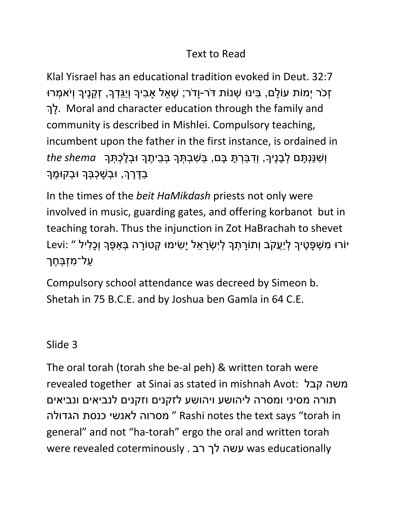#### Text to Read

Klal Yisrael has an educational tradition evoked in Deut. 32:7 זְכֹר יְמוֹת עוֹלַם, בִּינוּ שָׁנוֹת דֹּר-וַדֹר; שָׁאַל אַבִיךָ וְיַגֵּדְךָ, זָקֵנֵיךָ וְיֹאמְרוּ ךְלָ . Moral and character education through the family and community is described in Mishlei. Compulsory teaching, incumbent upon the father in the first instance, is ordained in וְ ִּשנַנְ ָתם ְל ָבנֶיָך, וְ ִּד ַב ְר ָת ָבם, ְב ִּש ְב ְתָך ְב ֵּבי ֶתָך ּו ְב ֶל ְכתְ ָך *shema the* ַבְדֶרֶךְ, וּבָשָׁכָבָּךָ וּבָקוּמֶךָ

In the times of the *beit HaMikdash* priests not only were involved in music, guarding gates, and offering korbanot but in teaching torah. Thus the injunction in Zot HaBrachah to shevet יֹורּו ִּמ ְש ָפ ֶטיָך ְליֲַעקֹב וְתֹוָר ְתָך ְליִּ ְשָר ֵּאל יָ ִּשימּו ְקטֹוָרה ְב ַא ֶפָך וְ ָכ ִּליל " :Levi ַעַל־מְזָבָּחֶך

Compulsory school attendance was decreed by Simeon b. Shetah in 75 B.C.E. and by Joshua ben Gamla in 64 C.E.

#### Slide 3

The oral torah (torah she be-al peh) & written torah were revealed together at Sinai as stated in mishnah Avot: קבל משה תורה מסיני ומסרה ליהושע ויהושע לזקנים וזקנים לנביאים ונביאים מסרוה לאנשי כנסת הגדולה "Rashi notes the text says "torah in general" and not "ha-torah" ergo the oral and written torah were revealed coterminously . רב לך עשה was educationally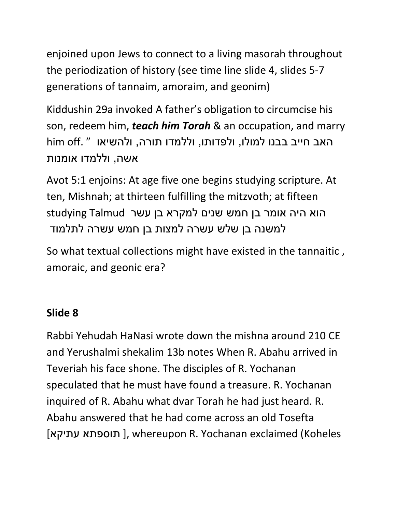enjoined upon Jews to connect to a living masorah throughout the periodization of history (see time line slide 4, slides 5-7 generations of tannaim, amoraim, and geonim)

Kiddushin 29a invoked A father's obligation to circumcise his son, redeem him, *teach him Torah* & an occupation, and marry האב חייב בבנו למולו, ולפדותו, וללמדו תורה, ולהשיאו " .off him אשה, וללמדו אומנות

Avot 5:1 enjoins: At age five one begins studying scripture. At ten, Mishnah; at thirteen fulfilling the mitzvoth; at fifteen הוא היה אומר בן חמש שנים למקרא בן עשר Talmud studying למשנה בן שלש עשרה למצות בן חמש עשרה לתלמוד

So what textual collections might have existed in the tannaitic , amoraic, and geonic era?

#### **Slide 8**

Rabbi Yehudah HaNasi wrote down the mishna around 210 CE and Yerushalmi shekalim 13b notes When R. Abahu arrived in Teveriah his face shone. The disciples of R. Yochanan speculated that he must have found a treasure. R. Yochanan inquired of R. Abahu what dvar Torah he had just heard. R. Abahu answered that he had come across an old Tosefta [תוספתא עתיקא], whereupon R. Yochanan exclaimed (Koheles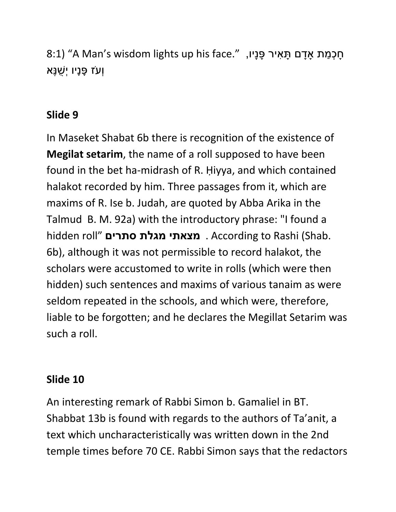תָּכְמַת אָדָם תָּאִיר פָּנָיו, "A Man's wisdom lights up his face." ֿוְעֹז פַּנַיו יְשֶׁנֵּא

#### **Slide 9**

In Maseket Shabat 6b there is recognition of the existence of **Megilat setarim**, the name of a roll supposed to have been found in the bet ha-midrash of R. Ḥiyya, and which contained halakot recorded by him. Three passages from it, which are maxims of R. Ise b. Judah, are quoted by Abba Arika in the Talmud B. M. 92a) with the introductory phrase: "I found a hidden roll" **סתרים מגלת מצאתי** . According to Rashi (Shab. 6b), although it was not permissible to record halakot, the scholars were accustomed to write in rolls (which were then hidden) such sentences and maxims of various tanaim as were seldom repeated in the schools, and which were, therefore, liable to be forgotten; and he declares the Megillat Setarim was such a roll.

#### **Slide 10**

An interesting remark of Rabbi Simon b. Gamaliel in BT. Shabbat 13b is found with regards to the authors of Ta'anit, a text which uncharacteristically was written down in the 2nd temple times before 70 CE. Rabbi Simon says that the redactors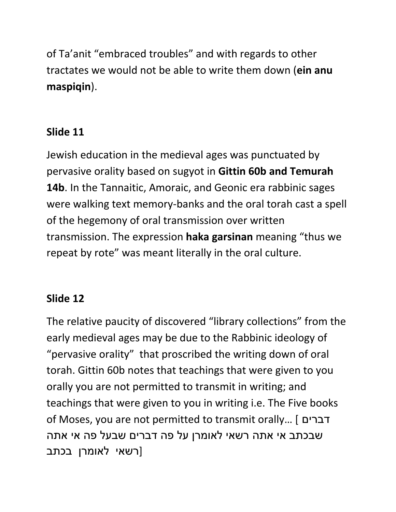of Ta'anit "embraced troubles" and with regards to other tractates we would not be able to write them down (**ein anu maspiqin**).

## **Slide 11**

Jewish education in the medieval ages was punctuated by pervasive orality based on sugyot in **Gittin 60b and Temurah 14b**. In the Tannaitic, Amoraic, and Geonic era rabbinic sages were walking text memory-banks and the oral torah cast a spell of the hegemony of oral transmission over written transmission. The expression **haka garsinan** meaning "thus we repeat by rote" was meant literally in the oral culture.

#### **Slide 12**

The relative paucity of discovered "library collections" from the early medieval ages may be due to the Rabbinic ideology of "pervasive orality" that proscribed the writing down of oral torah. Gittin 60b notes that teachings that were given to you orally you are not permitted to transmit in writing; and teachings that were given to you in writing i.e. The Five books of Moses, you are not permitted to transmit orally… [ דברים שבכתב אי אתה רשאי לאומרן על פה דברים שבעל פה אי אתה [רשאי לאומרן בכתב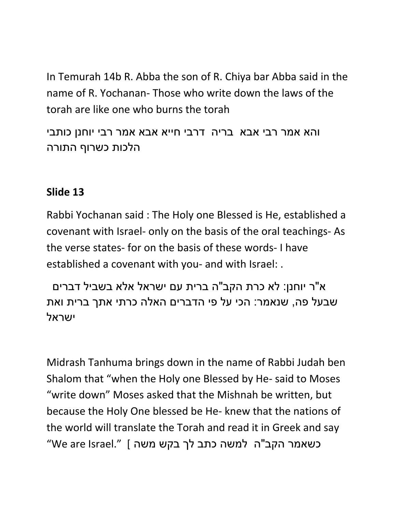In Temurah 14b R. Abba the son of R. Chiya bar Abba said in the name of R. Yochanan- Those who write down the laws of the torah are like one who burns the torah

והא אמר רבי אבא בריה דרבי חייא אבא אמר רבי יוחנן כותבי הלכות כשרוף התורה

#### **Slide 13**

Rabbi Yochanan said : The Holy one Blessed is He, established a covenant with Israel- only on the basis of the oral teachings- As the verse states- for on the basis of these words- I have established a covenant with you- and with Israel: .

א"ר יוחנן: לא כרת הקב"ה ברית עם ישראל אלא בשביל דברים שבעל פה, שנאמר: הכי על פי הדברים האלה כרתי אתך ברית ואת יושראל

Midrash Tanhuma brings down in the name of Rabbi Judah ben Shalom that "when the Holy one Blessed by He- said to Moses "write down" Moses asked that the Mishnah be written, but because the Holy One blessed be He- knew that the nations of the world will translate the Torah and read it in Greek and say כשאמר הקב"ה למשה כתב לך בקש משה ] ".Israel are We"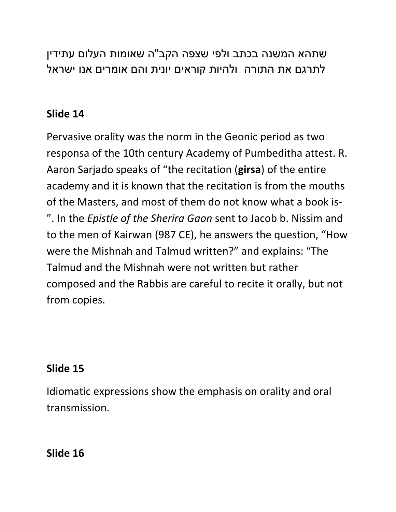שתהא המשנה בכתב ולפי שצפה הקב"ה שאומות העלום עתידין לתרגם את התורה ולהיות קוראים יונית והם אומרים אנו ישראל

### **Slide 14**

Pervasive orality was the norm in the Geonic period as two responsa of the 10th century Academy of Pumbeditha attest. R. Aaron Sarjado speaks of "the recitation (**girsa**) of the entire academy and it is known that the recitation is from the mouths of the Masters, and most of them do not know what a book is- ". In the *Epistle of the Sherira Gaon* sent to Jacob b. Nissim and to the men of Kairwan (987 CE), he answers the question, "How were the Mishnah and Talmud written?" and explains: "The Talmud and the Mishnah were not written but rather composed and the Rabbis are careful to recite it orally, but not from copies.

#### **Slide 15**

Idiomatic expressions show the emphasis on orality and oral transmission.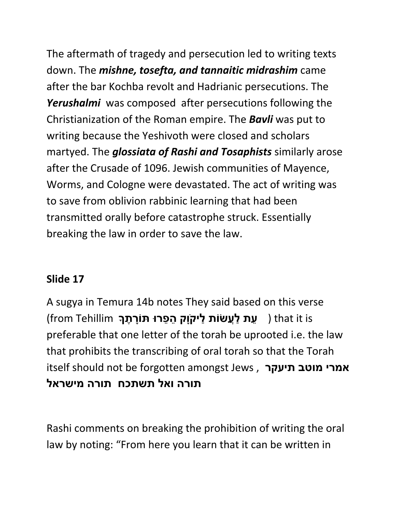The aftermath of tragedy and persecution led to writing texts down. The *mishne, tosefta, and tannaitic midrashim* came after the bar Kochba revolt and Hadrianic persecutions. The *Yerushalmi* was composed after persecutions following the Christianization of the Roman empire. The *Bavli* was put to writing because the Yeshivoth were closed and scholars martyed. The *glossiata of Rashi and Tosaphists* similarly arose after the Crusade of 1096. Jewish communities of Mayence, Worms, and Cologne were devastated. The act of writing was to save from oblivion rabbinic learning that had been transmitted orally before catastrophe struck. Essentially breaking the law in order to save the law.

#### **Slide 17**

A sugya in Temura 14b notes They said based on this verse is it that ) **ֵעת ַלֲעׂשֹות ַליקֹוָק ֵה ֵפרּו ּתֹוָר ֶתָך** Tehillim from( preferable that one letter of the torah be uprooted i.e. the law that prohibits the transcribing of oral torah so that the Torah itself should not be forgotten amongst Jews , **תיעקר מוטב אמרי תורה ואל תשתכח תורה מישראל**

Rashi comments on breaking the prohibition of writing the oral law by noting: "From here you learn that it can be written in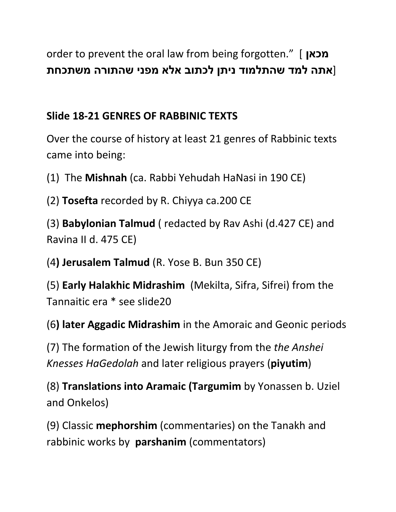order to prevent the oral law from being forgotten." [ **מכאן** [**אתה למד שהתלמוד ניתן לכתוב אלא מפני שהתורה משתכחת**

## **Slide 18-21 GENRES OF RABBINIC TEXTS**

Over the course of history at least 21 genres of Rabbinic texts came into being:

(1) The **Mishnah** (ca. Rabbi Yehudah HaNasi in 190 CE)

(2) **Tosefta** recorded by R. Chiyya ca.200 CE

(3) **Babylonian Talmud** ( redacted by Rav Ashi (d.427 CE) and Ravina II d. 475 CE)

(4**) Jerusalem Talmud** (R. Yose B. Bun 350 CE)

(5) **Early Halakhic Midrashim** (Mekilta, Sifra, Sifrei) from the Tannaitic era \* see slide20

(6**) later Aggadic Midrashim** in the Amoraic and Geonic periods

(7) The formation of the Jewish liturgy from the *the Anshei Knesses HaGedolah* and later religious prayers (**piyutim**)

(8) **Translations into Aramaic (Targumim** by Yonassen b. Uziel and Onkelos)

(9) Classic **mephorshim** (commentaries) on the Tanakh and rabbinic works by **parshanim** (commentators)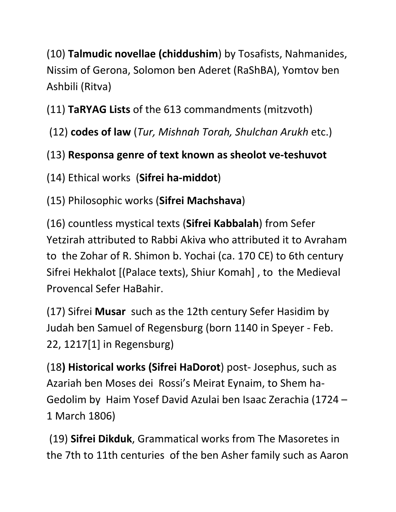(10) **Talmudic novellae (chiddushim**) by Tosafists, Nahmanides, Nissim of Gerona, Solomon ben Aderet (RaShBA), Yomtov ben Ashbili (Ritva)

(11) **TaRYAG Lists** of the 613 commandments (mitzvoth)

(12) **codes of law** (*Tur, Mishnah Torah, Shulchan Arukh* etc.)

## (13) **Responsa genre of text known as sheolot ve-teshuvot**

(14) Ethical works (**Sifrei ha-middot**)

(15) Philosophic works (**Sifrei Machshava**)

(16) countless mystical texts (**Sifrei Kabbalah**) from Sefer Yetzirah attributed to Rabbi Akiva who attributed it to Avraham to the Zohar of R. Shimon b. Yochai (ca. 170 CE) to 6th century Sifrei Hekhalot [(Palace texts), Shiur Komah] , to the Medieval Provencal Sefer HaBahir.

(17) Sifrei **Musar** such as the 12th century Sefer Hasidim by Judah ben Samuel of Regensburg (born 1140 in Speyer - Feb. 22, 1217[1] in Regensburg)

(18**) Historical works (Sifrei HaDorot**) post- Josephus, such as Azariah ben Moses dei Rossi's Meirat Eynaim, to Shem ha-Gedolim by Haim Yosef David Azulai ben Isaac Zerachia (1724 – 1 March 1806)

(19) **Sifrei Dikduk**, Grammatical works from The Masoretes in the 7th to 11th centuries of the ben Asher family such as Aaron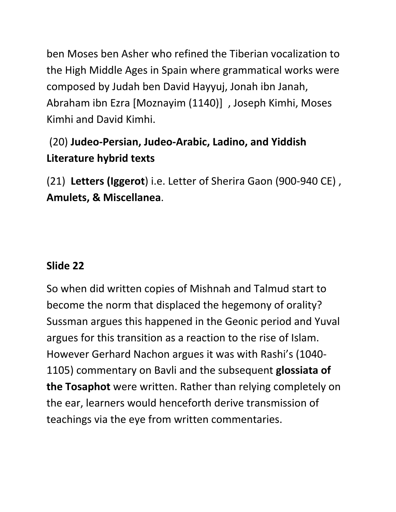ben Moses ben Asher who refined the Tiberian vocalization to the High Middle Ages in Spain where grammatical works were composed by Judah ben David Hayyuj, Jonah ibn Janah, Abraham ibn Ezra [Moznayim (1140)] , Joseph Kimhi, Moses Kimhi and David Kimhi.

# (20) **Judeo-Persian, Judeo-Arabic, Ladino, and Yiddish Literature hybrid texts**

(21) **Letters (Iggerot**) i.e. Letter of Sherira Gaon (900-940 CE) , **Amulets, & Miscellanea**.

#### **Slide 22**

So when did written copies of Mishnah and Talmud start to become the norm that displaced the hegemony of orality? Sussman argues this happened in the Geonic period and Yuval argues for this transition as a reaction to the rise of Islam. However Gerhard Nachon argues it was with Rashi's (1040- 1105) commentary on Bavli and the subsequent **glossiata of the Tosaphot** were written. Rather than relying completely on the ear, learners would henceforth derive transmission of teachings via the eye from written commentaries.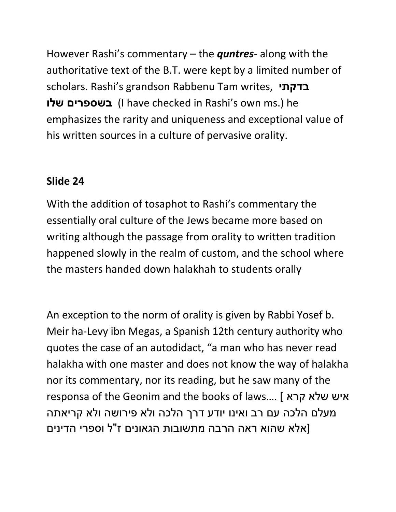However Rashi's commentary – the *quntres*- along with the authoritative text of the B.T. were kept by a limited number of scholars. Rashi's grandson Rabbenu Tam writes, **בדקתי שלו בשספרים**)I have checked in Rashi's own ms.) he emphasizes the rarity and uniqueness and exceptional value of his written sources in a culture of pervasive orality.

#### **Slide 24**

With the addition of tosaphot to Rashi's commentary the essentially oral culture of the Jews became more based on writing although the passage from orality to written tradition happened slowly in the realm of custom, and the school where the masters handed down halakhah to students orally

An exception to the norm of orality is given by Rabbi Yosef b. Meir ha-Levy ibn Megas, a Spanish 12th century authority who quotes the case of an autodidact, "a man who has never read halakha with one master and does not know the way of halakha nor its commentary, nor its reading, but he saw many of the responsa of the Geonim and the books of laws…. [ קרא שלא איש מעלם הלכה עם רב ואינו יודע דרך הלכה ולא פירושה ולא קריאתה [אלא שהוא ראה הרבה מתשובות הגאונים ז"ל וספרי הדינים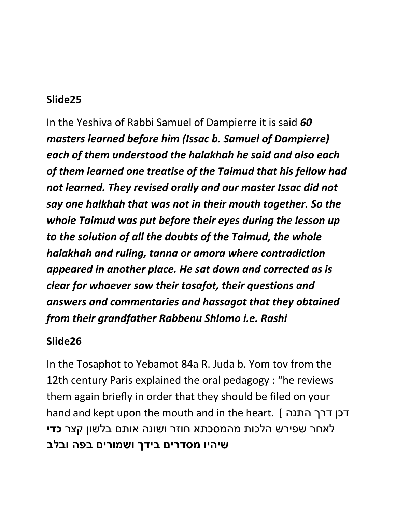In the Yeshiva of Rabbi Samuel of Dampierre it is said *60 masters learned before him (Issac b. Samuel of Dampierre) each of them understood the halakhah he said and also each of them learned one treatise of the Talmud that his fellow had not learned. They revised orally and our master Issac did not say one halkhah that was not in their mouth together. So the whole Talmud was put before their eyes during the lesson up to the solution of all the doubts of the Talmud, the whole halakhah and ruling, tanna or amora where contradiction appeared in another place. He sat down and corrected as is clear for whoever saw their tosafot, their questions and answers and commentaries and hassagot that they obtained from their grandfather Rabbenu Shlomo i.e. Rashi* 

#### **Slide26**

In the Tosaphot to Yebamot 84a R. Juda b. Yom tov from the 12th century Paris explained the oral pedagogy : "he reviews them again briefly in order that they should be filed on your hand and kept upon the mouth and in the heart. [ התנה דרך דכן לאחר שפירש הלכות מהמסכתא חוזר ושונה אותם בלשון קצר **כדי שיהיו מסדרים בידך ושמורים בפה ובלב**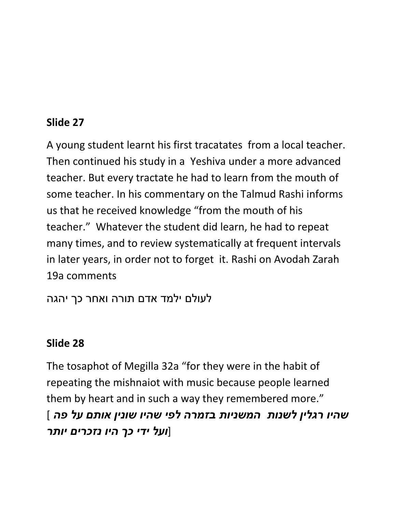A young student learnt his first tracatates from a local teacher. Then continued his study in a Yeshiva under a more advanced teacher. But every tractate he had to learn from the mouth of some teacher. In his commentary on the Talmud Rashi informs us that he received knowledge "from the mouth of his teacher." Whatever the student did learn, he had to repeat many times, and to review systematically at frequent intervals in later years, in order not to forget it. Rashi on Avodah Zarah 19a comments

לעולם ילמד אדם תורה ואחר כך יהגה

#### **Slide 28**

The tosaphot of Megilla 32a "for they were in the habit of repeating the mishnaiot with music because people learned them by heart and in such a way they remembered more." *שהיו רגלין לשנות המשניות בזמרה לפי שהיו שונין אותם על פה* ] [*ועל ידי כך היו נזכרים יותר*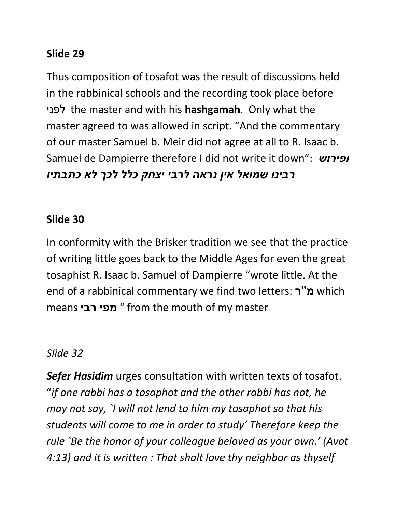Thus composition of tosafot was the result of discussions held in the rabbinical schools and the recording took place before לפני the master and with his **hashgamah**. Only what the master agreed to was allowed in script. "And the commentary of our master Samuel b. Meir did not agree at all to R. Isaac b. Samuel de Dampierre therefore I did not write it down": *ופירוש רבינו שמואל אין נראה לרבי יצחק כלל לכך לא כתבתיו*

#### **Slide 30**

In conformity with the Brisker tradition we see that the practice of writing little goes back to the Middle Ages for even the great tosaphist R. Isaac b. Samuel of Dampierre "wrote little. At the end of a rabbinical commentary we find two letters: **ר"מ** which means **רבי מפי** " from the mouth of my master

#### *Slide 32*

*Sefer Hasidim* urges consultation with written texts of tosafot. "*if one rabbi has a tosaphot and the other rabbi has not, he may not say, `I will not lend to him my tosaphot so that his students will come to me in order to study' Therefore keep the rule `Be the honor of your colleague beloved as your own.' (Avot 4:13) and it is written : That shalt love thy neighbor as thyself*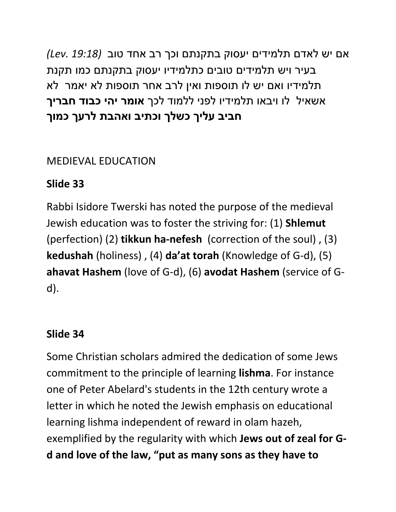אם יש לאדם תלמידים יעסוק בתקנתם וכך רב אחד טוב *(19:18 .Lev(* בעיר ויש תלמידים טובים כתלמידיו יעסוק בתקנתם כמו תקנת תלמידיו ואם יש לו תוספות ואין לרב אחר תוספות לא יאמר לא אשאיל לו ויבאו תלמידיו לפני ללמוד לכך **אומר יהי כבוד חבריך חביב עליך כשלך וכתיב ואהבת לרעך כמוך**

## MEDIEVAL EDUCATION

# **Slide 33**

Rabbi Isidore Twerski has noted the purpose of the medieval Jewish education was to foster the striving for: (1) **Shlemut**  (perfection) (2) **tikkun ha-nefesh** (correction of the soul) , (3) **kedushah** (holiness) , (4) **da'at torah** (Knowledge of G-d), (5) **ahavat Hashem** (love of G-d), (6) **avodat Hashem** (service of Gd).

## **Slide 34**

Some Christian scholars admired the dedication of some Jews commitment to the principle of learning **lishma**. For instance one of Peter Abelard's students in the 12th century wrote a letter in which he noted the Jewish emphasis on educational learning lishma independent of reward in olam hazeh, exemplified by the regularity with which **Jews out of zeal for Gd and love of the law, "put as many sons as they have to**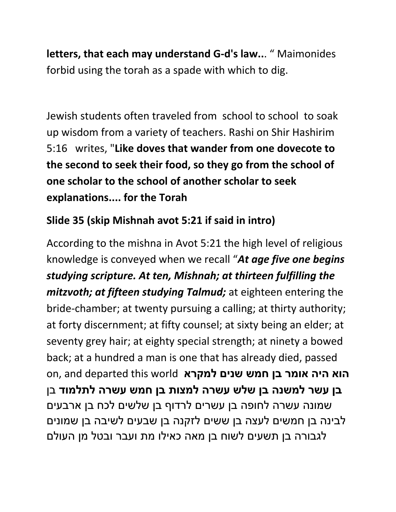**letters, that each may understand G-d's law..**. " Maimonides forbid using the torah as a spade with which to dig.

Jewish students often traveled from school to school to soak up wisdom from a variety of teachers. Rashi on Shir Hashirim 5:16 writes, "**Like doves that wander from one dovecote to the second to seek their food, so they go from the school of one scholar to the school of another scholar to seek explanations.... for the Torah** 

## **Slide 35 (skip Mishnah avot 5:21 if said in intro)**

According to the mishna in Avot 5:21 the high level of religious knowledge is conveyed when we recall "*At age five one begins studying scripture. At ten, Mishnah; at thirteen fulfilling the mitzvoth; at fifteen studying Talmud;* at eighteen entering the bride-chamber; at twenty pursuing a calling; at thirty authority; at forty discernment; at fifty counsel; at sixty being an elder; at seventy grey hair; at eighty special strength; at ninety a bowed back; at a hundred a man is one that has already died, passed **הוא היה אומר בן חמש שנים למקרא** world this departed and ,on **בן עשר למשנה בן שלש עשרה למצות בן חמש עשרה לתלמוד** בן שמונה עשרה לחופה בן עשרים לרדוף בן שלשים לכח בן ארבעים לבינה בן חמשים לעצה בן ששים לזקנה בן שבעים לשיבה בן שמונים לגבורה בן תשעים לשוח בן מאה כאילו מת ועבר ובטל מן העולם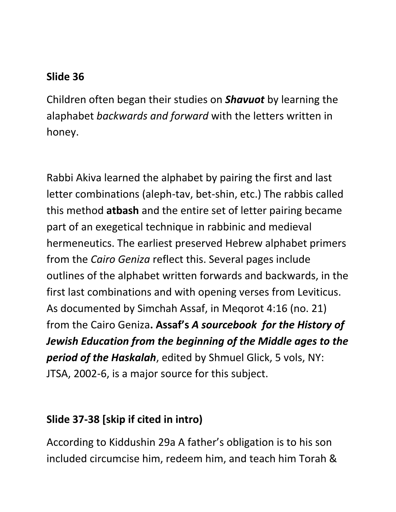Children often began their studies on *Shavuot* by learning the alaphabet *backwards and forward* with the letters written in honey.

Rabbi Akiva learned the alphabet by pairing the first and last letter combinations (aleph-tav, bet-shin, etc.) The rabbis called this method **atbash** and the entire set of letter pairing became part of an exegetical technique in rabbinic and medieval hermeneutics. The earliest preserved Hebrew alphabet primers from the *Cairo Geniza* reflect this. Several pages include outlines of the alphabet written forwards and backwards, in the first last combinations and with opening verses from Leviticus. As documented by Simchah Assaf, in Meqorot 4:16 (no. 21) from the Cairo Geniza**. Assaf's** *A sourcebook for the History of Jewish Education from the beginning of the Middle ages to the period of the Haskalah*, edited by Shmuel Glick, 5 vols, NY: JTSA, 2002-6, is a major source for this subject.

#### **Slide 37-38 [skip if cited in intro)**

According to Kiddushin 29a A father's obligation is to his son included circumcise him, redeem him, and teach him Torah &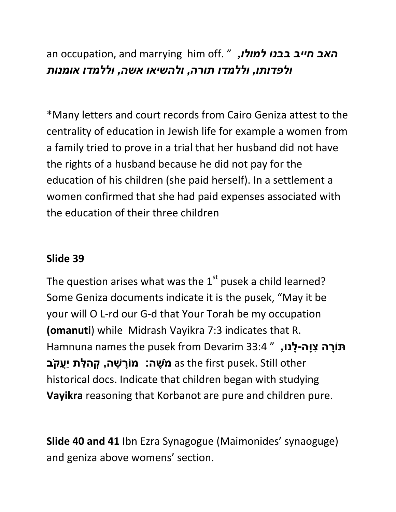an occupation, and marrying him off. " *,למולו בבנו חייב האב ולפדותו, וללמדו תורה, ולהשיאו אשה, וללמדו אומנות*

\*Many letters and court records from Cairo Geniza attest to the centrality of education in Jewish life for example a women from a family tried to prove in a trial that her husband did not have the rights of a husband because he did not pay for the education of his children (she paid herself). In a settlement a women confirmed that she had paid expenses associated with the education of their three children

#### **Slide 39**

The question arises what was the  $1<sup>st</sup>$  pusek a child learned? Some Geniza documents indicate it is the pusek, "May it be your will O L-rd our G-d that Your Torah be my occupation **(omanuti**) while Midrash Vayikra 7:3 indicates that R. **תּוֹרָה צְוַּה-לַנּוּ,** " 33:4 Hamnuna names the pusek from Devarim 33:4 other Still .pusek first the as **מֹ ֶשה: מֹוָר ָשה, ְק ִה ַלת יֲַעקֹב** historical docs. Indicate that children began with studying **Vayikra** reasoning that Korbanot are pure and children pure.

**Slide 40 and 41** Ibn Ezra Synagogue (Maimonides' synaoguge) and geniza above womens' section.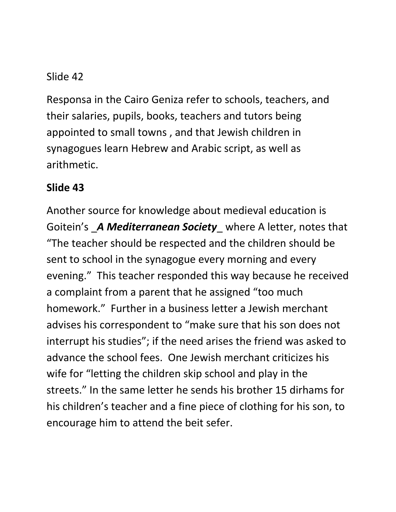Responsa in the Cairo Geniza refer to schools, teachers, and their salaries, pupils, books, teachers and tutors being appointed to small towns , and that Jewish children in synagogues learn Hebrew and Arabic script, as well as arithmetic.

#### **Slide 43**

Another source for knowledge about medieval education is Goitein's \_*A Mediterranean Society*\_ where A letter, notes that "The teacher should be respected and the children should be sent to school in the synagogue every morning and every evening." This teacher responded this way because he received a complaint from a parent that he assigned "too much homework." Further in a business letter a Jewish merchant advises his correspondent to "make sure that his son does not interrupt his studies"; if the need arises the friend was asked to advance the school fees. One Jewish merchant criticizes his wife for "letting the children skip school and play in the streets." In the same letter he sends his brother 15 dirhams for his children's teacher and a fine piece of clothing for his son, to encourage him to attend the beit sefer.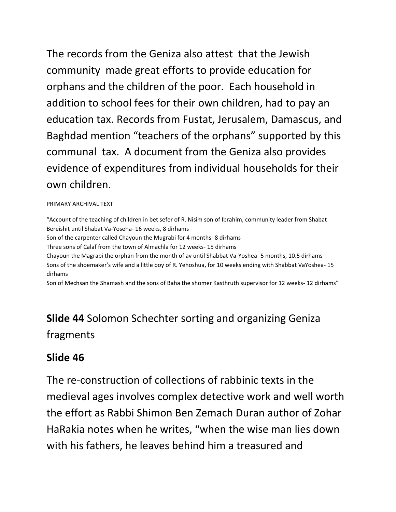The records from the Geniza also attest that the Jewish community made great efforts to provide education for orphans and the children of the poor. Each household in addition to school fees for their own children, had to pay an education tax. Records from Fustat, Jerusalem, Damascus, and Baghdad mention "teachers of the orphans" supported by this communal tax. A document from the Geniza also provides evidence of expenditures from individual households for their own children.

#### PRIMARY ARCHIVAL TEXT

"Account of the teaching of children in bet sefer of R. Nisim son of Ibrahim, community leader from Shabat Bereishit until Shabat Va-Yoseha- 16 weeks, 8 dirhams Son of the carpenter called Chayoun the Mugrabi for 4 months- 8 dirhams Three sons of Calaf from the town of Almachla for 12 weeks- 15 dirhams Chayoun the Magrabi the orphan from the month of av until Shabbat Va-Yoshea- 5 months, 10.5 dirhams Sons of the shoemaker's wife and a little boy of R. Yehoshua, for 10 weeks ending with Shabbat VaYoshea- 15 dirhams

Son of Mechsan the Shamash and the sons of Baha the shomer Kasthruth supervisor for 12 weeks- 12 dirhams"

# **Slide 44** Solomon Schechter sorting and organizing Geniza fragments

#### **Slide 46**

The re-construction of collections of rabbinic texts in the medieval ages involves complex detective work and well worth the effort as Rabbi Shimon Ben Zemach Duran author of Zohar HaRakia notes when he writes, "when the wise man lies down with his fathers, he leaves behind him a treasured and